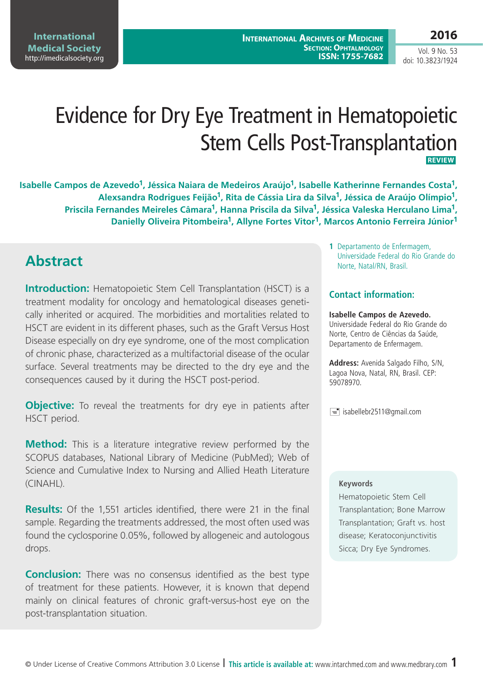**International Medical Society**  <http://imedicalsociety.org>

Vol. 9 No. 53 doi: 10.3823/1924

# Evidence for Dry Eye Treatment in Hematopoietic Stem Cells Post-Transplantation  **Review**

**Isabelle Campos de Azevedo<sup>1</sup>, Jéssica Naiara de Medeiros Araújo<sup>1</sup>, Isabelle Katherinne Fernandes Costa<sup>1</sup>, Alexsandra Rodrigues Feijão1, Rita de Cássia Lira da Silva1, Jéssica de Araújo Olímpio1, Priscila Fernandes Meireles Câmara1, Hanna Priscila da Silva1, Jéssica Valeska Herculano Lima1, Danielly Oliveira Pitombeira1, Allyne Fortes Vitor1, Marcos Antonio Ferreira Júnior1**

## **Abstract**

**Introduction:** Hematopoietic Stem Cell Transplantation (HSCT) is a treatment modality for oncology and hematological diseases genetically inherited or acquired. The morbidities and mortalities related to HSCT are evident in its different phases, such as the Graft Versus Host Disease especially on dry eye syndrome, one of the most complication of chronic phase, characterized as a multifactorial disease of the ocular surface. Several treatments may be directed to the dry eye and the consequences caused by it during the HSCT post-period.

**Objective:** To reveal the treatments for dry eye in patients after HSCT period.

**Method:** This is a literature integrative review performed by the SCOPUS databases, National Library of Medicine (PubMed); Web of Science and Cumulative Index to Nursing and Allied Heath Literature (CINAHL).

**Results:** Of the 1,551 articles identified, there were 21 in the final sample. Regarding the treatments addressed, the most often used was found the cyclosporine 0.05%, followed by allogeneic and autologous drops.

**Conclusion:** There was no consensus identified as the best type of treatment for these patients. However, it is known that depend mainly on clinical features of chronic graft-versus-host eye on the post-transplantation situation.

**1** Departamento de Enfermagem, Universidade Federal do Rio Grande do Norte, Natal/RN, Brasil.

### **Contact information:**

**Isabelle Campos de Azevedo.** Universidade Federal do Rio Grande do Norte, Centro de Ciências da Saúde, Departamento de Enfermagem.

**Address:** Avenida Salgado Filho, S/N, Lagoa Nova, Natal, RN, Brasil. CEP: 59078970.

 $\equiv$  isabellebr2511@gmail.com

### **Keywords**

Hematopoietic Stem Cell Transplantation; Bone Marrow Transplantation; Graft vs. host disease; Keratoconjunctivitis Sicca; Dry Eye Syndromes.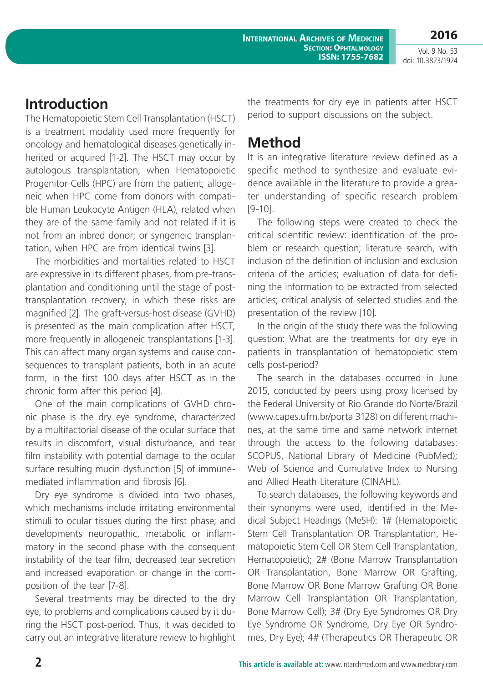**International Archives of Medicine Section: Ophtalmology ISSN: 1755-7682**

**2016** Vol. 9 No. 53

doi: 10.3823/1924

### **Introduction**

The Hematopoietic Stem Cell Transplantation (HSCT) is a treatment modality used more frequently for oncology and hematological diseases genetically inherited or acquired [1-2]. The HSCT may occur by autologous transplantation, when Hematopoietic Progenitor Cells (HPC) are from the patient; allogeneic when HPC come from donors with compatible Human Leukocyte Antigen (HLA), related when they are of the same family and not related if it is not from an inbred donor; or syngeneic transplantation, when HPC are from identical twins [3].

The morbidities and mortalities related to HSCT are expressive in its different phases, from pre-transplantation and conditioning until the stage of posttransplantation recovery, in which these risks are magnified [2]. The graft-versus-host disease (GVHD) is presented as the main complication after HSCT, more frequently in allogeneic transplantations [1-3]. This can affect many organ systems and cause consequences to transplant patients, both in an acute form, in the first 100 days after HSCT as in the chronic form after this period [4].

One of the main complications of GVHD chronic phase is the dry eye syndrome, characterized by a multifactorial disease of the ocular surface that results in discomfort, visual disturbance, and tear film instability with potential damage to the ocular surface resulting mucin dysfunction [5] of immunemediated inflammation and fibrosis [6].

Dry eye syndrome is divided into two phases, which mechanisms include irritating environmental stimuli to ocular tissues during the first phase; and developments neuropathic, metabolic or inflammatory in the second phase with the consequent instability of the tear film, decreased tear secretion and increased evaporation or change in the composition of the tear [7-8].

Several treatments may be directed to the dry eye, to problems and complications caused by it during the HSCT post-period. Thus, it was decided to carry out an integrative literature review to highlight the treatments for dry eye in patients after HSCT period to support discussions on the subject.

## **Method**

It is an integrative literature review defined as a specific method to synthesize and evaluate evidence available in the literature to provide a greater understanding of specific research problem [9-10].

The following steps were created to check the critical scientific review: identification of the problem or research question; literature search, with inclusion of the definition of inclusion and exclusion criteria of the articles; evaluation of data for defining the information to be extracted from selected articles; critical analysis of selected studies and the presentation of the review [10].

In the origin of the study there was the following question: What are the treatments for dry eye in patients in transplantation of hematopoietic stem cells post-period?

The search in the databases occurred in June 2015, conducted by peers using proxy licensed by the Federal University of Rio Grande do Norte/Brazil [\(www.capes.ufrn.br/porta 3128](www.capes.ufrn.br/porta 3128)) on different machines, at the same time and same network internet through the access to the following databases: SCOPUS, National Library of Medicine (PubMed); Web of Science and Cumulative Index to Nursing and Allied Heath Literature (CINAHL).

To search databases, the following keywords and their synonyms were used, identified in the Medical Subject Headings (MeSH): 1# (Hematopoietic Stem Cell Transplantation OR Transplantation, Hematopoietic Stem Cell OR Stem Cell Transplantation, Hematopoietic); 2# (Bone Marrow Transplantation OR Transplantation, Bone Marrow OR Grafting, Bone Marrow OR Bone Marrow Grafting OR Bone Marrow Cell Transplantation OR Transplantation, Bone Marrow Cell); 3# (Dry Eye Syndromes OR Dry Eye Syndrome OR Syndrome, Dry Eye OR Syndromes, Dry Eye); 4# (Therapeutics OR Therapeutic OR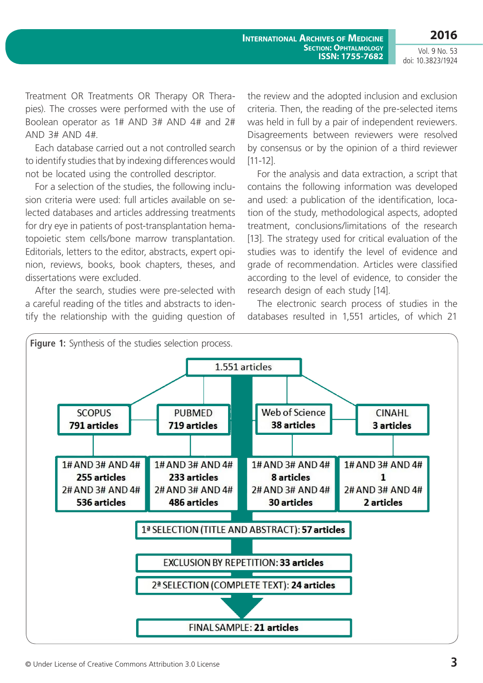**2016**

Vol. 9 No. 53 doi: 10.3823/1924

Treatment OR Treatments OR Therapy OR Therapies). The crosses were performed with the use of Boolean operator as 1# AND 3# AND 4# and 2# AND 3# AND 4#.

Each database carried out a not controlled search to identify studies that by indexing differences would not be located using the controlled descriptor.

For a selection of the studies, the following inclusion criteria were used: full articles available on selected databases and articles addressing treatments for dry eye in patients of post-transplantation hematopoietic stem cells/bone marrow transplantation. Editorials, letters to the editor, abstracts, expert opinion, reviews, books, book chapters, theses, and dissertations were excluded.

After the search, studies were pre-selected with a careful reading of the titles and abstracts to identify the relationship with the guiding question of the review and the adopted inclusion and exclusion criteria. Then, the reading of the pre-selected items was held in full by a pair of independent reviewers. Disagreements between reviewers were resolved by consensus or by the opinion of a third reviewer [11-12].

For the analysis and data extraction, a script that contains the following information was developed and used: a publication of the identification, location of the study, methodological aspects, adopted treatment, conclusions/limitations of the research [13]. The strategy used for critical evaluation of the studies was to identify the level of evidence and grade of recommendation. Articles were classified according to the level of evidence, to consider the research design of each study [14].

The electronic search process of studies in the databases resulted in 1,551 articles, of which 21

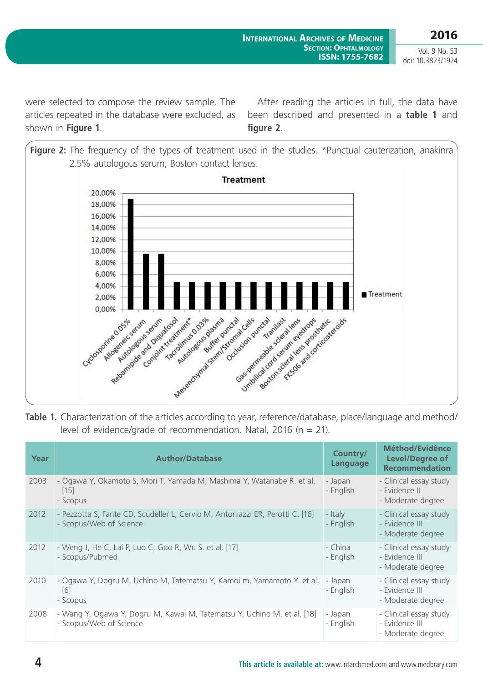were selected to compose the review sample. The articles repeated in the database were excluded, as shown in **Figure 1**.

After reading the articles in full, the data have been described and presented in a **table 1** and **figure 2**.



**Table 1.** Characterization of the articles according to year, reference/database, place/language and method/ level of evidence/grade of recommendation. Natal, 2016 ( $n = 21$ ).

| Year | <b>Author/Database</b>                                                                                   | Country/<br>Language | Méthod/Evidênce<br><b>Level/Degree of</b><br><b>Recommendation</b> |
|------|----------------------------------------------------------------------------------------------------------|----------------------|--------------------------------------------------------------------|
| 2003 | - Ogawa Y, Okamoto S, Mori T, Yamada M, Mashima Y, Watanabe R. et al.<br> 15 <br>- Scopus                | - Japan<br>- English | - Clinical essay study<br>- Evidence II<br>- Moderate degree       |
| 2012 | - Pezzotta S, Fante CD, Scudeller L, Cervio M, Antoniazzi ER, Perotti C. [16]<br>- Scopus/Web of Science | - Italy<br>- English | - Clinical essay study<br>- Evidence III<br>- Moderate degree      |
| 2012 | - Weng J, He C, Lai P, Luo C, Guo R, Wu S. et al. [17]<br>- Scopus/Pubmed                                | - China<br>- English | - Clinical essay study<br>- Evidence III<br>- Moderate degree      |
| 2010 | - Ogawa Y, Dogru M, Uchino M, Tatematsu Y, Kamoi m, Yamamoto Y. et al.<br> 6 <br>- Scopus                | - Japan<br>- English | - Clinical essay study<br>- Evidence III<br>- Moderate degree      |
| 2008 | - Wang Y, Ogawa Y, Dogru M, Kawai M, Tatematsu Y, Uchino M. et al. [18]<br>- Scopus/Web of Science       | - Japan<br>- English | - Clinical essay study<br>- Evidence III<br>- Moderate degree      |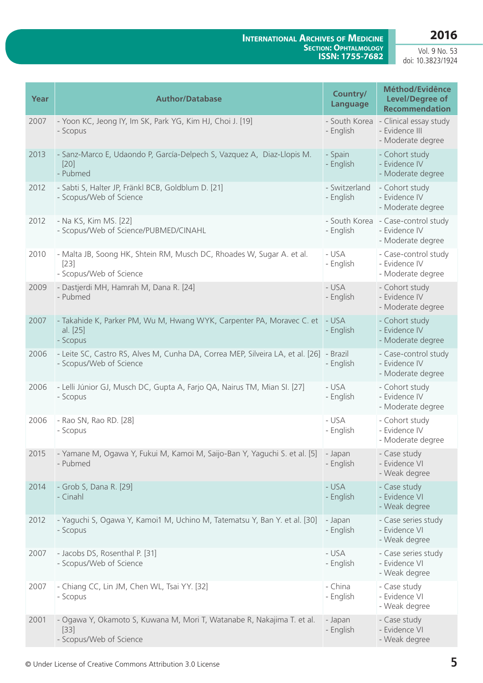### **2016**

#### **International Archives of Medicine Section: Ophtalmology ISSN: 1755-7682**

Vol. 9 No. 53 doi: 10.3823/1924

| Year | <b>Author/Database</b>                                                                                      | Country/<br><b>Language</b> | Méthod/Evidênce<br><b>Level/Degree of</b><br><b>Recommendation</b> |
|------|-------------------------------------------------------------------------------------------------------------|-----------------------------|--------------------------------------------------------------------|
| 2007 | - Yoon KC, Jeong IY, Im SK, Park YG, Kim HJ, Choi J. [19]<br>- Scopus                                       | - South Korea<br>- English  | - Clinical essay study<br>- Evidence III<br>- Moderate degree      |
| 2013 | - Sanz-Marco E, Udaondo P, García-Delpech S, Vazquez A, Diaz-Llopis M.<br>$[20]$<br>- Pubmed                | - Spain<br>- English        | - Cohort study<br>- Evidence IV<br>- Moderate degree               |
| 2012 | - Sabti S, Halter JP, Fränkl BCB, Goldblum D. [21]<br>- Scopus/Web of Science                               | - Switzerland<br>- English  | - Cohort study<br>- Evidence IV<br>- Moderate degree               |
| 2012 | - Na KS, Kim MS. [22]<br>- Scopus/Web of Science/PUBMED/CINAHL                                              | - South Korea<br>- English  | - Case-control study<br>- Evidence IV<br>- Moderate degree         |
| 2010 | - Malta JB, Soong HK, Shtein RM, Musch DC, Rhoades W, Sugar A. et al.<br>$[23]$<br>- Scopus/Web of Science  | - USA<br>- English          | - Case-control study<br>- Evidence IV<br>- Moderate degree         |
| 2009 | - Dastjerdi MH, Hamrah M, Dana R. [24]<br>- Pubmed                                                          | - USA<br>- English          | - Cohort study<br>- Evidence IV<br>- Moderate degree               |
| 2007 | - Takahide K, Parker PM, Wu M, Hwang WYK, Carpenter PA, Moravec C. et<br>al. [25]<br>- Scopus               | - USA<br>- English          | - Cohort study<br>- Evidence IV<br>- Moderate degree               |
| 2006 | - Leite SC, Castro RS, Alves M, Cunha DA, Correa MEP, Silveira LA, et al. [26]<br>- Scopus/Web of Science   | - Brazil<br>- English       | - Case-control study<br>- Evidence IV<br>- Moderate degree         |
| 2006 | - Lelli Júnior GJ, Musch DC, Gupta A, Farjo QA, Nairus TM, Mian SI. [27]<br>- Scopus                        | - USA<br>- English          | - Cohort study<br>- Evidence IV<br>- Moderate degree               |
| 2006 | - Rao SN, Rao RD. [28]<br>- Scopus                                                                          | - USA<br>- English          | - Cohort study<br>- Evidence IV<br>- Moderate degree               |
| 2015 | - Yamane M, Ogawa Y, Fukui M, Kamoi M, Saijo-Ban Y, Yaguchi S. et al. [5]<br>- Pubmed                       | - Japan<br>- English        | - Case study<br>- Evidence VI<br>- Weak degree                     |
| 2014 | - Grob S, Dana R. [29]<br>- Cinahl                                                                          | - USA<br>- English          | - Case study<br>- Evidence VI<br>- Weak degree                     |
| 2012 | - Yaguchi S, Ogawa Y, Kamoi1 M, Uchino M, Tatematsu Y, Ban Y. et al. [30]<br>- Scopus                       | - Japan<br>- English        | - Case series study<br>- Evidence VI<br>- Weak degree              |
| 2007 | - Jacobs DS, Rosenthal P. [31]<br>- Scopus/Web of Science                                                   | - USA<br>- English          | - Case series study<br>- Evidence VI<br>- Weak degree              |
| 2007 | - Chiang CC, Lin JM, Chen WL, Tsai YY. [32]<br>- Scopus                                                     | - China<br>- English        | - Case study<br>- Evidence VI<br>- Weak degree                     |
| 2001 | - Ogawa Y, Okamoto S, Kuwana M, Mori T, Watanabe R, Nakajima T. et al.<br>$[33]$<br>- Scopus/Web of Science | - Japan<br>- English        | - Case study<br>- Evidence VI<br>- Weak degree                     |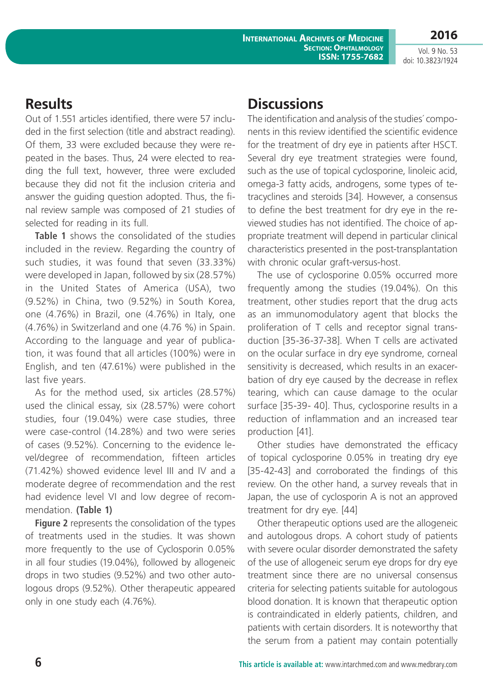**2016** Vol. 9 No. 53

doi: 10.3823/1924

### **Results**

Out of 1.551 articles identified, there were 57 included in the first selection (title and abstract reading). Of them, 33 were excluded because they were repeated in the bases. Thus, 24 were elected to reading the full text, however, three were excluded because they did not fit the inclusion criteria and answer the guiding question adopted. Thus, the final review sample was composed of 21 studies of selected for reading in its full.

**Table 1** shows the consolidated of the studies included in the review. Regarding the country of such studies, it was found that seven (33.33%) were developed in Japan, followed by six (28.57%) in the United States of America (USA), two (9.52%) in China, two (9.52%) in South Korea, one (4.76%) in Brazil, one (4.76%) in Italy, one (4.76%) in Switzerland and one (4.76 %) in Spain. According to the language and year of publication, it was found that all articles (100%) were in English, and ten (47.61%) were published in the last five years.

As for the method used, six articles (28.57%) used the clinical essay, six (28.57%) were cohort studies, four (19.04%) were case studies, three were case-control (14.28%) and two were series of cases (9.52%). Concerning to the evidence level/degree of recommendation, fifteen articles (71.42%) showed evidence level III and IV and a moderate degree of recommendation and the rest had evidence level VI and low degree of recommendation. **(Table 1)**

**Figure 2** represents the consolidation of the types of treatments used in the studies. It was shown more frequently to the use of Cyclosporin 0.05% in all four studies (19.04%), followed by allogeneic drops in two studies (9.52%) and two other autologous drops (9.52%). Other therapeutic appeared only in one study each (4.76%).

## **Discussions**

The identification and analysis of the studies´ components in this review identified the scientific evidence for the treatment of dry eye in patients after HSCT. Several dry eye treatment strategies were found, such as the use of topical cyclosporine, linoleic acid, omega-3 fatty acids, androgens, some types of tetracyclines and steroids [34]. However, a consensus to define the best treatment for dry eye in the reviewed studies has not identified. The choice of appropriate treatment will depend in particular clinical characteristics presented in the post-transplantation with chronic ocular graft-versus-host.

The use of cyclosporine 0.05% occurred more frequently among the studies (19.04%). On this treatment, other studies report that the drug acts as an immunomodulatory agent that blocks the proliferation of T cells and receptor signal transduction [35-36-37-38]. When T cells are activated on the ocular surface in dry eye syndrome, corneal sensitivity is decreased, which results in an exacerbation of dry eye caused by the decrease in reflex tearing, which can cause damage to the ocular surface [35-39- 40]. Thus, cyclosporine results in a reduction of inflammation and an increased tear production [41].

Other studies have demonstrated the efficacy of topical cyclosporine 0.05% in treating dry eye [35-42-43] and corroborated the findings of this review. On the other hand, a survey reveals that in Japan, the use of cyclosporin A is not an approved treatment for dry eye. [44]

Other therapeutic options used are the allogeneic and autologous drops. A cohort study of patients with severe ocular disorder demonstrated the safety of the use of allogeneic serum eye drops for dry eye treatment since there are no universal consensus criteria for selecting patients suitable for autologous blood donation. It is known that therapeutic option is contraindicated in elderly patients, children, and patients with certain disorders. It is noteworthy that the serum from a patient may contain potentially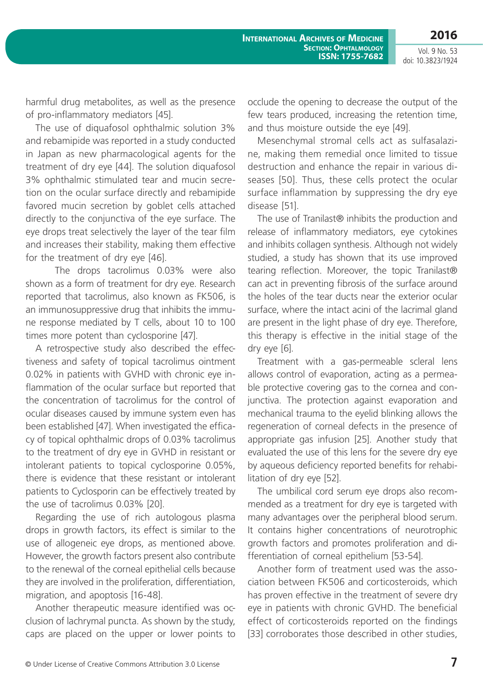**2016**

Vol. 9 No. 53 doi: 10.3823/1924

harmful drug metabolites, as well as the presence of pro-inflammatory mediators [45].

The use of diquafosol ophthalmic solution 3% and rebamipide was reported in a study conducted in Japan as new pharmacological agents for the treatment of dry eye [44]. The solution diquafosol 3% ophthalmic stimulated tear and mucin secretion on the ocular surface directly and rebamipide favored mucin secretion by goblet cells attached directly to the conjunctiva of the eye surface. The eye drops treat selectively the layer of the tear film and increases their stability, making them effective for the treatment of dry eye [46].

The drops tacrolimus 0.03% were also shown as a form of treatment for dry eye. Research reported that tacrolimus, also known as FK506, is an immunosuppressive drug that inhibits the immune response mediated by T cells, about 10 to 100 times more potent than cyclosporine [47].

A retrospective study also described the effectiveness and safety of topical tacrolimus ointment 0.02% in patients with GVHD with chronic eye inflammation of the ocular surface but reported that the concentration of tacrolimus for the control of ocular diseases caused by immune system even has been established [47]. When investigated the efficacy of topical ophthalmic drops of 0.03% tacrolimus to the treatment of dry eye in GVHD in resistant or intolerant patients to topical cyclosporine 0.05%, there is evidence that these resistant or intolerant patients to Cyclosporin can be effectively treated by the use of tacrolimus 0.03% [20].

Regarding the use of rich autologous plasma drops in growth factors, its effect is similar to the use of allogeneic eye drops, as mentioned above. However, the growth factors present also contribute to the renewal of the corneal epithelial cells because they are involved in the proliferation, differentiation, migration, and apoptosis [16-48].

Another therapeutic measure identified was occlusion of lachrymal puncta. As shown by the study, caps are placed on the upper or lower points to occlude the opening to decrease the output of the few tears produced, increasing the retention time, and thus moisture outside the eye [49].

Mesenchymal stromal cells act as sulfasalazine, making them remedial once limited to tissue destruction and enhance the repair in various diseases [50]. Thus, these cells protect the ocular surface inflammation by suppressing the dry eye disease [51].

The use of Tranilast<sup>®</sup> inhibits the production and release of inflammatory mediators, eye cytokines and inhibits collagen synthesis. Although not widely studied, a study has shown that its use improved tearing reflection. Moreover, the topic Tranilast® can act in preventing fibrosis of the surface around the holes of the tear ducts near the exterior ocular surface, where the intact acini of the lacrimal gland are present in the light phase of dry eye. Therefore, this therapy is effective in the initial stage of the dry eye [6].

Treatment with a gas-permeable scleral lens allows control of evaporation, acting as a permeable protective covering gas to the cornea and conjunctiva. The protection against evaporation and mechanical trauma to the eyelid blinking allows the regeneration of corneal defects in the presence of appropriate gas infusion [25]. Another study that evaluated the use of this lens for the severe dry eye by aqueous deficiency reported benefits for rehabilitation of dry eye [52].

The umbilical cord serum eye drops also recommended as a treatment for dry eye is targeted with many advantages over the peripheral blood serum. It contains higher concentrations of neurotrophic growth factors and promotes proliferation and differentiation of corneal epithelium [53-54].

Another form of treatment used was the association between FK506 and corticosteroids, which has proven effective in the treatment of severe dry eye in patients with chronic GVHD. The beneficial effect of corticosteroids reported on the findings [33] corroborates those described in other studies,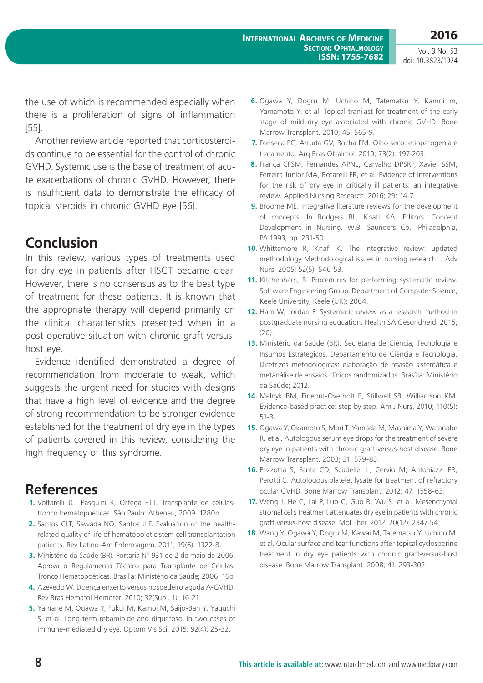the use of which is recommended especially when there is a proliferation of signs of inflammation [55].

Another review article reported that corticosteroids continue to be essential for the control of chronic GVHD. Systemic use is the base of treatment of acute exacerbations of chronic GVHD. However, there is insufficient data to demonstrate the efficacy of topical steroids in chronic GVHD eye [56].

### **Conclusion**

In this review, various types of treatments used for dry eye in patients after HSCT became clear. However, there is no consensus as to the best type of treatment for these patients. It is known that the appropriate therapy will depend primarily on the clinical characteristics presented when in a post-operative situation with chronic graft-versushost eye.

Evidence identified demonstrated a degree of recommendation from moderate to weak, which suggests the urgent need for studies with designs that have a high level of evidence and the degree of strong recommendation to be stronger evidence established for the treatment of dry eye in the types of patients covered in this review, considering the high frequency of this syndrome.

### **References**

- **1.** Voltarelli JC, Pasquini R, Ortega ETT. Transplante de célulastronco hematopoéticas. São Paulo: Atheneu; 2009. 1280p.
- **2.** Santos CLT, Sawada NO, Santos JLF. Evaluation of the healthrelated quality of life of hematopoietic stem cell transplantation patients. Rev Latino-Am Enfermagem. 2011; 19(6): 1322-8.
- **3.** Ministério da Saúde (BR). Portaria Nº 931 de 2 de maio de 2006. Aprova o Regulamento Técnico para Transplante de Células-Tronco Hematopoéticas. Brasília: Ministério da Saúde; 2006. 16p.
- **4.** Azevedo W. Doença enxerto versus hospedeiro aguda A-GVHD. Rev Bras Hematol Hemoter. 2010; 32(Supl. 1): 16-21.
- **5.** Yamane M, Ogawa Y, Fukui M, Kamoi M, Saijo-Ban Y, Yaguchi S. et al. Long-term rebamipide and diquafosol in two cases of immune-mediated dry eye. Optom Vis Sci. 2015; 92(4): 25-32.
- **6.** Ogawa Y, Dogru M, Uchino M, Tatematsu Y, Kamoi m, Yamamoto Y. et al. Topical tranilast for treatment of the early stage of mild dry eye associated with chronic GVHD. Bone Marrow Transplant. 2010; 45: 565-9.
- **7.** Fonseca EC, Arruda GV, Rocha EM. Olho seco: etiopatogenia e tratamento. Arq Bras Oftalmol. 2010; 73(2): 197-203.
- **8.** França CFSM, Fernandes APNL, Carvalho DPSRP, Xavier SSM, Ferreira Junior MA, Botarelli FR, et al. Evidence of interventions for the risk of dry eye in critically ill patients: an integrative review. Applied Nursing Research. 2016; 29: 14-7.
- **9.** Broome ME. Integrative literature reviews for the development of concepts. In Rodgers BL, Knafl KA. Editors. Concept Development in Nursing. W.B. Saunders Co., Philadelphia, PA.1993; pp. 231-50.
- **10.** Whittemore R, Knafl K. The integrative review: updated methodology Methodological issues in nursing research. J Adv Nurs. 2005; 52(5): 546-53.
- **11.** Kitchenham, B. Procedures for performing systematic review. Software Engineering Group, Department of Computer Science, Keele University, Keele (UK); 2004.
- **12.** Ham W, Jordan P. Systematic review as a research method in postgraduate nursing education. Health SA Gesondheid. 2015; (20).
- **13.** Ministério da Saúde (BR). Secretaria de Ciência, Tecnologia e Insumos Estratégicos. Departamento de Ciência e Tecnologia. Diretrizes metodológicas: elaboração de revisão sistemática e metanálise de ensaios clínicos randomizados. Brasília: Ministério da Saúde; 2012.
- **14.** Melnyk BM, Fineout-Overholt E, Stillwell SB, Williamson KM. Evidence-based practice: step by step. Am J Nurs. 2010; 110(5): 51-3.
- **15.** Ogawa Y, Okamoto S, Mori T, Yamada M, Mashima Y, Watanabe R. et al. Autologous serum eye drops for the treatment of severe dry eye in patients with chronic graft-versus-host disease. Bone Marrow Transplant. 2003; 31: 579-83.
- **16.** Pezzotta S, Fante CD, Scudeller L, Cervio M, Antoniazzi ER, Perotti C. Autologous platelet lysate for treatment of refractory ocular GVHD. Bone Marrow Transplant. 2012; 47: 1558-63.
- **17.** Weng J, He C, Lai P, Luo C, Guo R, Wu S. et al. Mesenchymal stromal cells treatment attenuates dry eye in patients with chronic graft-versus-host disease. Mol Ther. 2012; 20(12): 2347-54.
- **18.** Wang Y, Ogawa Y, Dogru M, Kawai M, Tatematsu Y, Uchino M. et al. Ocular surface and tear functions after topical cyclosporine treatment in dry eye patients with chronic graft-versus-host disease. Bone Marrow Transplant. 2008; 41: 293-302.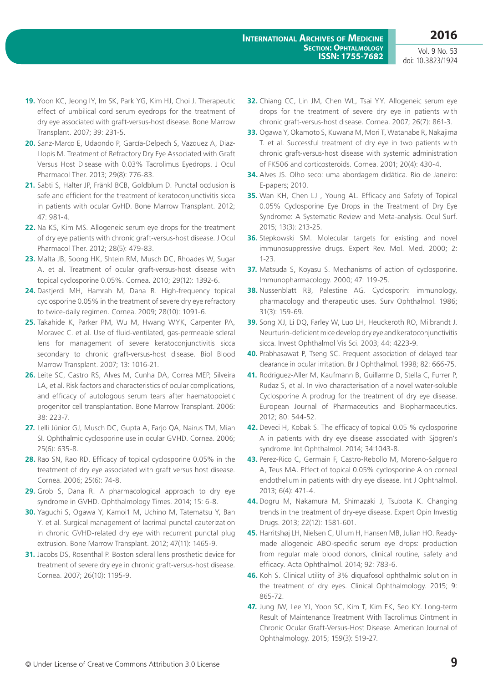- **19.** Yoon KC, Jeong IY, Im SK, Park YG, Kim HJ, Choi J. Therapeutic effect of umbilical cord serum eyedrops for the treatment of dry eye associated with graft-versus-host disease. Bone Marrow Transplant. 2007; 39: 231-5.
- **20.** Sanz-Marco E, Udaondo P, García-Delpech S, Vazquez A, Diaz-Llopis M. Treatment of Refractory Dry Eye Associated with Graft Versus Host Disease with 0.03% Tacrolimus Eyedrops. J Ocul Pharmacol Ther. 2013; 29(8): 776-83.
- **21.** Sabti S, Halter JP, Fränkl BCB, Goldblum D. Punctal occlusion is safe and efficient for the treatment of keratoconjunctivitis sicca in patients with ocular GvHD. Bone Marrow Transplant. 2012; 47: 981-4.
- **22.** Na KS, Kim MS. Allogeneic serum eye drops for the treatment of dry eye patients with chronic graft-versus-host disease. J Ocul Pharmacol Ther. 2012; 28(5): 479-83.
- **23.** Malta JB, Soong HK, Shtein RM, Musch DC, Rhoades W, Sugar A. et al. Treatment of ocular graft-versus-host disease with topical cyclosporine 0.05%. Cornea. 2010; 29(12): 1392-6.
- 24. Dastierdi MH, Hamrah M, Dana R, High-frequency topical cyclosporine 0.05% in the treatment of severe dry eye refractory to twice-daily regimen. Cornea. 2009; 28(10): 1091-6.
- **25.** Takahide K, Parker PM, Wu M, Hwang WYK, Carpenter PA, Moravec C. et al. Use of fluid-ventilated, gas-permeable scleral lens for management of severe keratoconjunctivitis sicca secondary to chronic graft-versus-host disease. Biol Blood Marrow Transplant. 2007; 13: 1016-21.
- **26.** Leite SC, Castro RS, Alves M, Cunha DA, Correa MEP, Silveira LA, et al. Risk factors and characteristics of ocular complications, and efficacy of autologous serum tears after haematopoietic progenitor cell transplantation. Bone Marrow Transplant. 2006: 38: 223-7.
- **27.** Lelli Júnior GJ, Musch DC, Gupta A, Farjo QA, Nairus TM, Mian SI. Ophthalmic cyclosporine use in ocular GVHD. Cornea. 2006; 25(6): 635-8.
- **28.** Rao SN, Rao RD. Efficacy of topical cyclosporine 0.05% in the treatment of dry eye associated with graft versus host disease. Cornea. 2006; 25(6): 74-8.
- **29.** Grob S, Dana R. A pharmacological approach to dry eye syndrome in GVHD. Ophthalmology Times. 2014; 15: 6-8.
- **30.** Yaguchi S, Ogawa Y, Kamoi1 M, Uchino M, Tatematsu Y, Ban Y. et al. Surgical management of lacrimal punctal cauterization in chronic GVHD-related dry eye with recurrent punctal plug extrusion. Bone Marrow Transplant. 2012; 47(11): 1465-9.
- **31.** Jacobs DS, Rosenthal P. Boston scleral lens prosthetic device for treatment of severe dry eye in chronic graft-versus-host disease. Cornea. 2007; 26(10): 1195-9.
- **32.** Chiang CC, Lin JM, Chen WL, Tsai YY. Allogeneic serum eye drops for the treatment of severe dry eye in patients with chronic graft-versus-host disease. Cornea. 2007; 26(7): 861-3.
- **33.** Ogawa Y, Okamoto S, Kuwana M, Mori T, Watanabe R, Nakajima T. et al. Successful treatment of dry eye in two patients with chronic graft-versus-host disease with systemic administration of FK506 and corticosteroids. Cornea. 2001; 20(4): 430-4.
- **34.** Alves JS. Olho seco: uma abordagem didática. Rio de Janeiro: E-papers; 2010.
- **35.** Wan KH, Chen LJ , Young AL. Efficacy and Safety of Topical 0.05% Cyclosporine Eye Drops in the Treatment of Dry Eye Syndrome: A Systematic Review and Meta-analysis. Ocul Surf. 2015; 13(3): 213-25.
- **36.** Stepkowski SM. Molecular targets for existing and novel immunosuppressive drugs. Expert Rev. Mol. Med. 2000; 2: 1-23.
- **37.** Matsuda S, Koyasu S. Mechanisms of action of cyclosporine. Immunopharmacology. 2000; 47: 119-25.
- **38.** Nussenblatt RB, Palestine AG. Cyclosporin: immunology, pharmacology and therapeutic uses. Surv Ophthalmol. 1986; 31(3): 159-69.
- **39.** Song XJ, Li DQ, Farley W, Luo LH, Heuckeroth RO, Milbrandt J. Neurturin-deficient mice develop dry eye and keratoconjunctivitis sicca. Invest Ophthalmol Vis Sci. 2003; 44: 4223-9.
- **40.** Prabhasawat P, Tseng SC. Frequent association of delayed tear clearance in ocular irritation. Br J Ophthalmol. 1998; 82: 666-75.
- **41.** Rodriguez-Aller M, Kaufmann B, Guillarme D, Stella C, Furrer P, Rudaz S, et al. In vivo characterisation of a novel water-soluble Cyclosporine A prodrug for the treatment of dry eye disease. European Journal of Pharmaceutics and Biopharmaceutics. 2012; 80: 544-52.
- **42.** Deveci H, Kobak S. The efficacy of topical 0.05 % cyclosporine A in patients with dry eye disease associated with Sjögren's syndrome. Int Ophthalmol. 2014; 34:1043-8.
- **43.** Perez-Rico C, Germain F, Castro-Rebollo M, Moreno-Salgueiro A, Teus MA. Effect of topical 0.05% cyclosporine A on corneal endothelium in patients with dry eye disease. Int J Ophthalmol. 2013; 6(4): 471-4.
- **44.** Dogru M, Nakamura M, Shimazaki J, Tsubota K. Changing trends in the treatment of dry-eye disease. Expert Opin Investig Drugs. 2013; 22(12): 1581-601.
- **45.** Harritshøj LH, Nielsen C, Ullum H, Hansen MB, Julian HO. Readymade allogeneic ABO-specific serum eye drops: production from regular male blood donors, clinical routine, safety and efficacy. Acta Ophthalmol. 2014; 92: 783-6.
- **46.** Koh S. Clinical utility of 3% diquafosol ophthalmic solution in the treatment of dry eyes. Clinical Ophthalmology. 2015; 9: 865-72.
- **47.** Jung JW, Lee YJ, Yoon SC, Kim T, Kim EK, Seo KY. Long-term Result of Maintenance Treatment With Tacrolimus Ointment in Chronic Ocular Graft-Versus-Host Disease. American Journal of Ophthalmology. 2015; 159(3): 519-27.